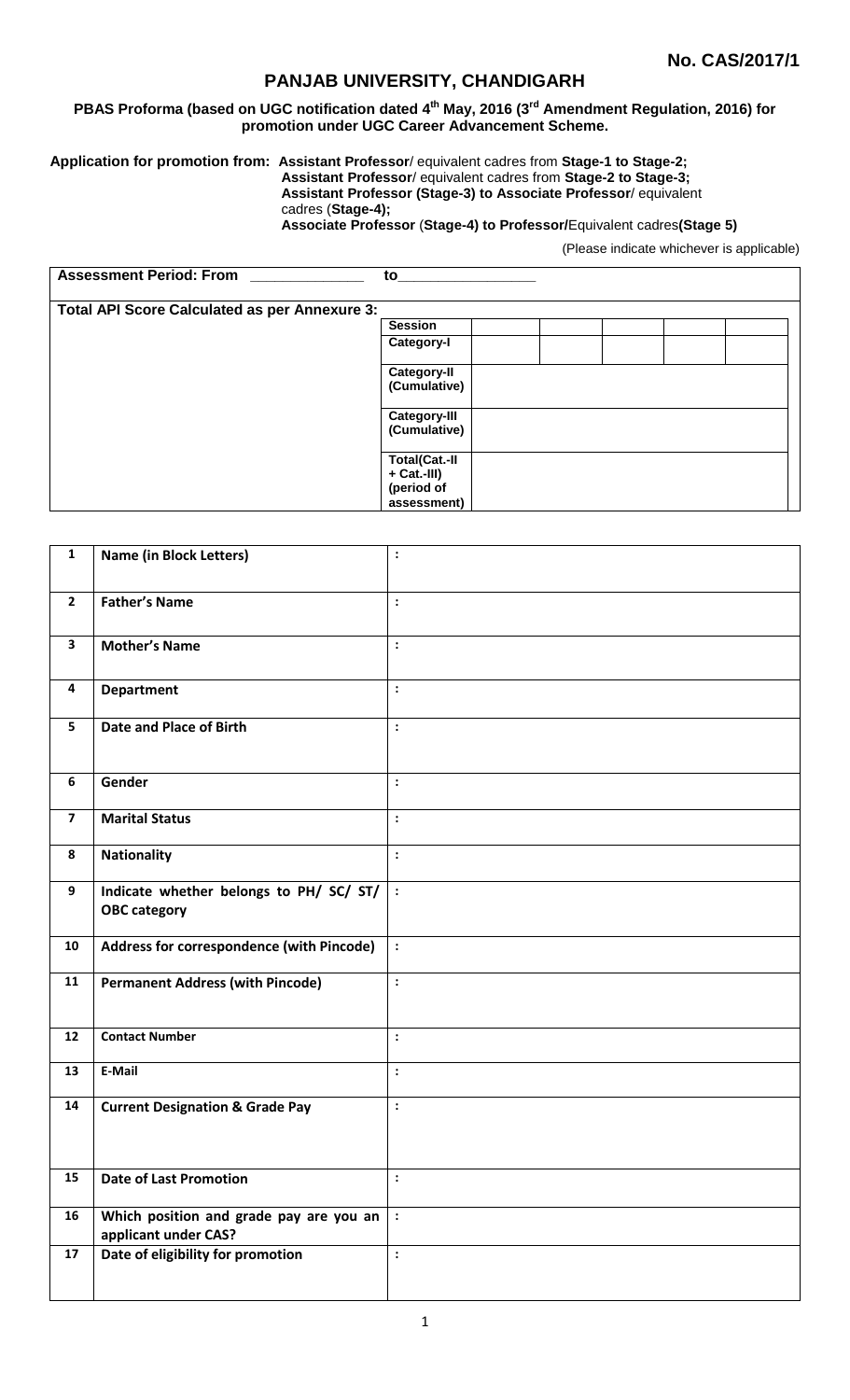# **PANJAB UNIVERSITY, CHANDIGARH**

#### **PBAS Proforma (based on UGC notification dated 4 th May, 2016 (3rd Amendment Regulation, 2016) for promotion under UGC Career Advancement Scheme.**

**Application for promotion from: Assistant Professor**/ equivalent cadres from **Stage-1 to Stage-2;**

**Assistant Professor**/ equivalent cadres from **Stage-2 to Stage-3;**

**Assistant Professor (Stage-3) to Associate Professor**/ equivalent cadres (**Stage-4);**

**Associate Professor** (**Stage-4) to Professor/**Equivalent cadres**(Stage 5)**

(Please indicate whichever is applicable)

| <b>Assessment Period: From</b>                       | to                                                |  |
|------------------------------------------------------|---------------------------------------------------|--|
| <b>Total API Score Calculated as per Annexure 3:</b> |                                                   |  |
|                                                      | <b>Session</b>                                    |  |
|                                                      | Category-I                                        |  |
|                                                      | <b>Category-II</b><br>(Cumulative)                |  |
|                                                      | <b>Category-III</b><br>(Cumulative)               |  |
|                                                      | <b>Total(Cat.-II</b><br>+ Cat.-III)<br>(period of |  |
|                                                      | assessment)                                       |  |

| $\mathbf{1}$            | <b>Name (in Block Letters)</b>                                  | $\ddot{\cdot}$         |
|-------------------------|-----------------------------------------------------------------|------------------------|
| $\overline{2}$          | <b>Father's Name</b>                                            | $\ddot{\cdot}$         |
| $\mathbf{3}$            | <b>Mother's Name</b>                                            | $\colon$               |
| 4                       | <b>Department</b>                                               | $\ddot{\cdot}$         |
| 5                       | Date and Place of Birth                                         | $\ddot{\cdot}$         |
| 6                       | Gender                                                          | $\ddot{\cdot}$         |
| $\overline{\mathbf{z}}$ | <b>Marital Status</b>                                           | :                      |
| 8                       | <b>Nationality</b>                                              | $\ddot{\cdot}$         |
| 9                       | Indicate whether belongs to PH/ SC/ ST/<br><b>OBC category</b>  | $\ddot{\phantom{a}}$ : |
| 10                      | Address for correspondence (with Pincode)                       | $\ddot{\cdot}$         |
| 11                      | <b>Permanent Address (with Pincode)</b>                         | $\ddot{\cdot}$         |
| 12                      | <b>Contact Number</b>                                           | $\vdots$               |
| 13                      | E-Mail                                                          | $\ddot{\cdot}$         |
| 14                      | <b>Current Designation &amp; Grade Pay</b>                      | $\colon$               |
| 15                      | <b>Date of Last Promotion</b>                                   | $\mathbf{\cdot}$       |
| 16                      | Which position and grade pay are you an<br>applicant under CAS? | $\ddot{\cdot}$         |
| 17                      | Date of eligibility for promotion                               | $\colon$               |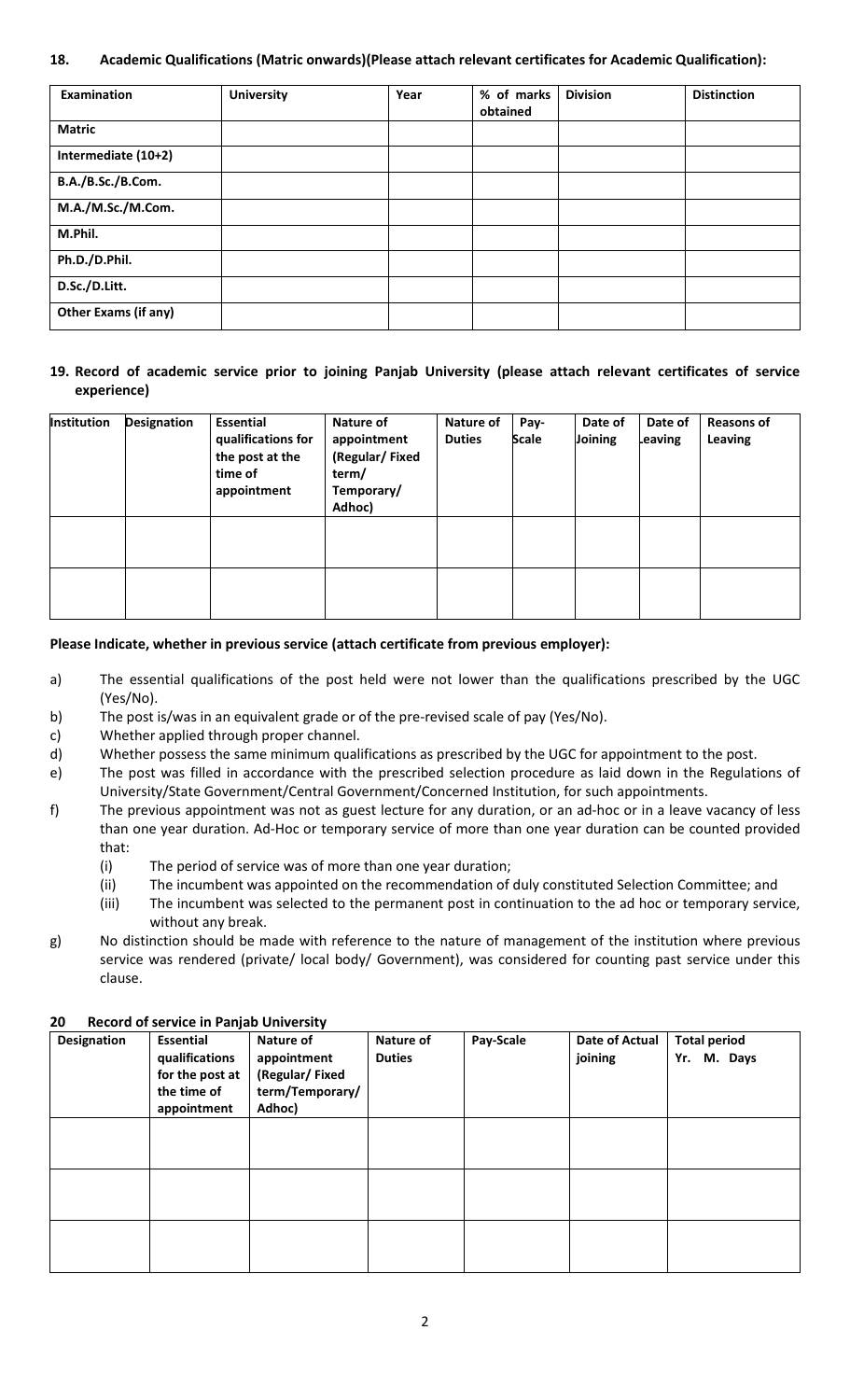## **18. Academic Qualifications (Matric onwards)(Please attach relevant certificates for Academic Qualification):**

| Examination                 | <b>University</b> | Year | % of marks<br>obtained | <b>Division</b> | <b>Distinction</b> |
|-----------------------------|-------------------|------|------------------------|-----------------|--------------------|
| <b>Matric</b>               |                   |      |                        |                 |                    |
| Intermediate (10+2)         |                   |      |                        |                 |                    |
| B.A./B.Sc./B.Com.           |                   |      |                        |                 |                    |
| M.A./M.Sc./M.Com.           |                   |      |                        |                 |                    |
| M.Phil.                     |                   |      |                        |                 |                    |
| Ph.D./D.Phil.               |                   |      |                        |                 |                    |
| D.Sc./D.Litt.               |                   |      |                        |                 |                    |
| <b>Other Exams (if any)</b> |                   |      |                        |                 |                    |

## **19. Record of academic service prior to joining Panjab University (please attach relevant certificates of service experience)**

| Institution | <b>Designation</b> | Essential<br>qualifications for<br>the post at the<br>time of<br>appointment | Nature of<br>appointment<br>(Regular/Fixed<br>term/<br>Temporary/<br>Adhoc) | Nature of<br><b>Duties</b> | Pay-<br><b>Scale</b> | Date of<br>Joining | Date of<br>Leaving | <b>Reasons of</b><br>Leaving |
|-------------|--------------------|------------------------------------------------------------------------------|-----------------------------------------------------------------------------|----------------------------|----------------------|--------------------|--------------------|------------------------------|
|             |                    |                                                                              |                                                                             |                            |                      |                    |                    |                              |
|             |                    |                                                                              |                                                                             |                            |                      |                    |                    |                              |

#### **Please Indicate, whether in previous service (attach certificate from previous employer):**

- a) The essential qualifications of the post held were not lower than the qualifications prescribed by the UGC (Yes/No).
- b) The post is/was in an equivalent grade or of the pre-revised scale of pay (Yes/No).
- c) Whether applied through proper channel.
- d) Whether possess the same minimum qualifications as prescribed by the UGC for appointment to the post.
- e) The post was filled in accordance with the prescribed selection procedure as laid down in the Regulations of University/State Government/Central Government/Concerned Institution, for such appointments.
- f) The previous appointment was not as guest lecture for any duration, or an ad-hoc or in a leave vacancy of less than one year duration. Ad-Hoc or temporary service of more than one year duration can be counted provided that:
	- (i) The period of service was of more than one year duration;
	- (ii) The incumbent was appointed on the recommendation of duly constituted Selection Committee; and
	- (iii) The incumbent was selected to the permanent post in continuation to the ad hoc or temporary service, without any break.
- g) No distinction should be made with reference to the nature of management of the institution where previous service was rendered (private/ local body/ Government), was considered for counting past service under this clause.

| ZU.<br><b>Designation</b> | Record of service in Panjab University<br><b>Essential</b><br>qualifications<br>for the post at<br>the time of<br>appointment | Nature of<br>appointment<br>(Regular/Fixed<br>term/Temporary/<br>Adhoc) | Nature of<br><b>Duties</b> | Pay-Scale | Date of Actual<br>joining | <b>Total period</b><br>Yr. M. Days |
|---------------------------|-------------------------------------------------------------------------------------------------------------------------------|-------------------------------------------------------------------------|----------------------------|-----------|---------------------------|------------------------------------|
|                           |                                                                                                                               |                                                                         |                            |           |                           |                                    |
|                           |                                                                                                                               |                                                                         |                            |           |                           |                                    |
|                           |                                                                                                                               |                                                                         |                            |           |                           |                                    |

## **20 Record of service in Panjab University**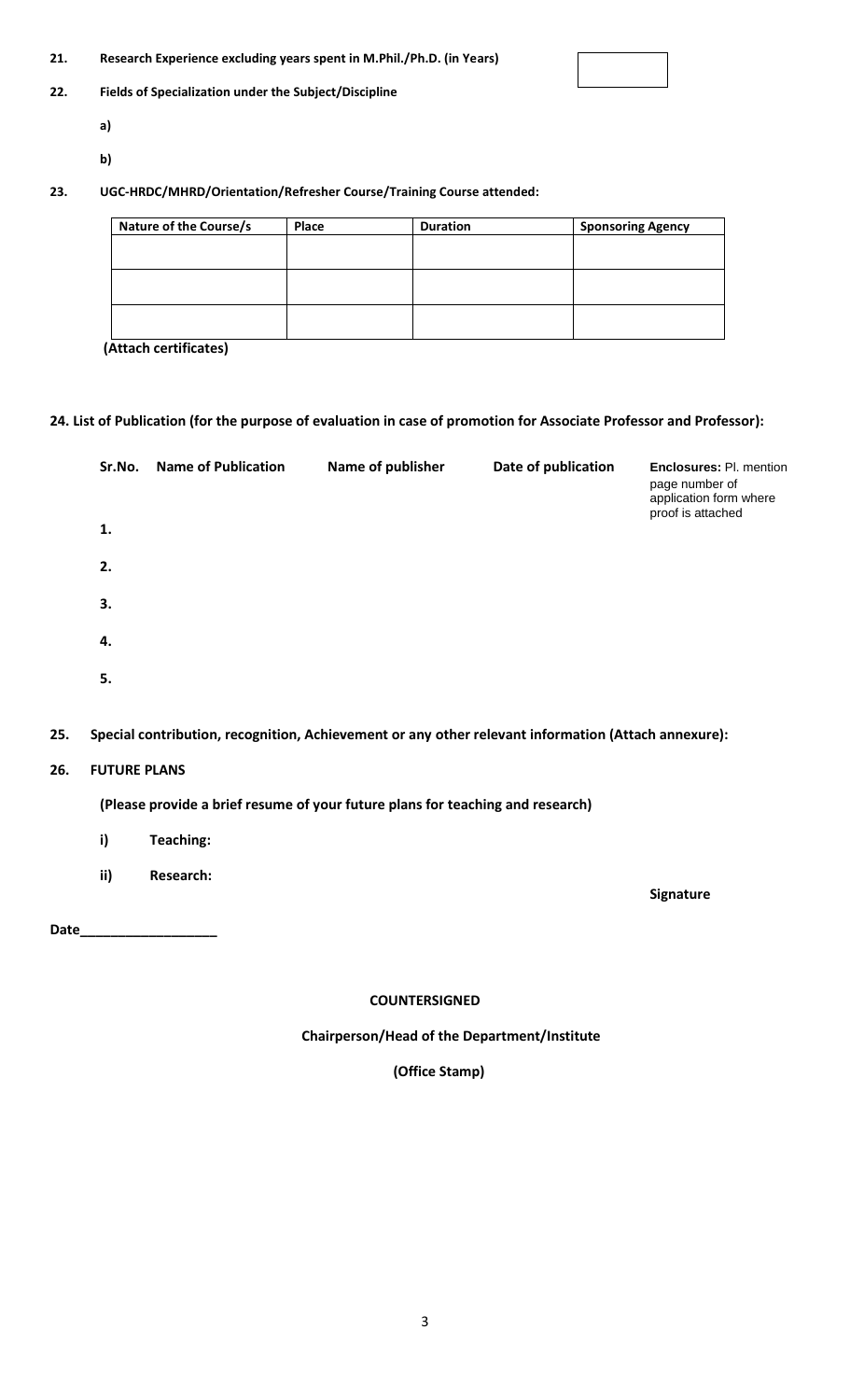| 21. | Research Experience excluding years spent in M.Phil./Ph.D. (in Years) |
|-----|-----------------------------------------------------------------------|
|-----|-----------------------------------------------------------------------|

#### **22. Fields of Specialization under the Subject/Discipline**

- **a)**
- **b)**

# **23. UGC-HRDC/MHRD/Orientation/Refresher Course/Training Course attended:**

| Nature of the Course/s | Place | <b>Duration</b> | <b>Sponsoring Agency</b> |
|------------------------|-------|-----------------|--------------------------|
|                        |       |                 |                          |
|                        |       |                 |                          |
|                        |       |                 |                          |
|                        |       |                 |                          |
|                        |       |                 |                          |
|                        |       |                 |                          |

**(Attach certificates)**

# **24. List of Publication (for the purpose of evaluation in case of promotion for Associate Professor and Professor):**

| Sr.No. | <b>Name of Publication</b> | Name of publisher | Date of publication | <b>Enclosures: Pl. mention</b><br>page number of<br>application form where<br>proof is attached |
|--------|----------------------------|-------------------|---------------------|-------------------------------------------------------------------------------------------------|
| 1.     |                            |                   |                     |                                                                                                 |
| 2.     |                            |                   |                     |                                                                                                 |
| 3.     |                            |                   |                     |                                                                                                 |
| 4.     |                            |                   |                     |                                                                                                 |
| 5.     |                            |                   |                     |                                                                                                 |

# **25. Special contribution, recognition, Achievement or any other relevant information (Attach annexure):**

# **26. FUTURE PLANS**

# **(Please provide a brief resume of your future plans for teaching and research)**

- **i) Teaching:**
- **ii) Research:**

Date\_

 **Signature**

## **COUNTERSIGNED**

 **Chairperson/Head of the Department/Institute**

 **(Office Stamp)**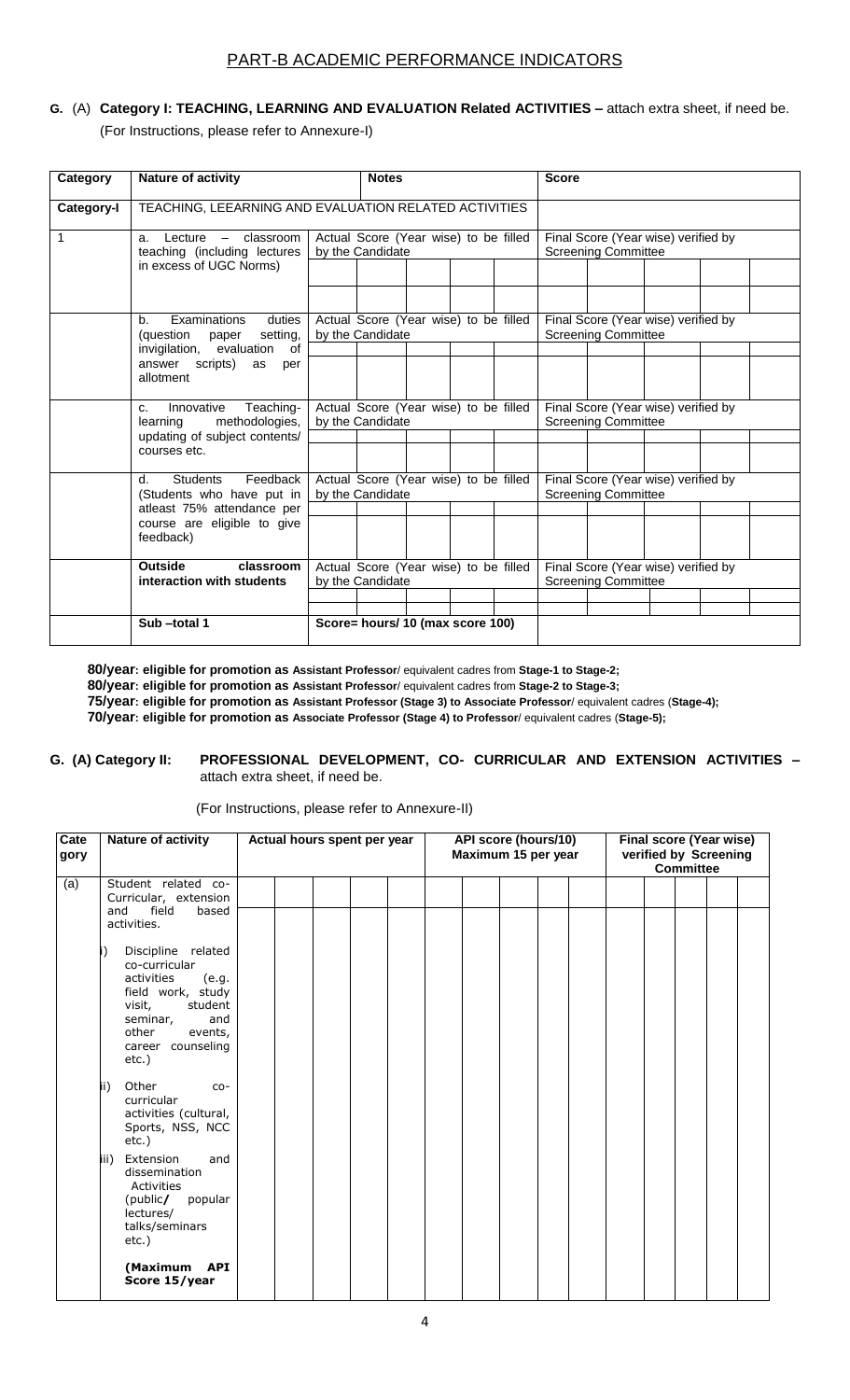# PART-B ACADEMIC PERFORMANCE INDICATORS

# **G.** (A) **Category I: TEACHING, LEARNING AND EVALUATION Related ACTIVITIES –** attach extra sheet, if need be. (For Instructions, please refer to Annexure-I)

| Category   | Nature of activity                                                      | <b>Notes</b>                                              |                                                           |  |  |  | <b>Score</b>                                                      |                                                                   |  |  |  |
|------------|-------------------------------------------------------------------------|-----------------------------------------------------------|-----------------------------------------------------------|--|--|--|-------------------------------------------------------------------|-------------------------------------------------------------------|--|--|--|
|            |                                                                         |                                                           |                                                           |  |  |  |                                                                   |                                                                   |  |  |  |
| Category-I | TEACHING, LEEARNING AND EVALUATION RELATED ACTIVITIES                   |                                                           |                                                           |  |  |  |                                                                   |                                                                   |  |  |  |
| 1          | a. Lecture - classroom<br>teaching (including lectures                  |                                                           | Actual Score (Year wise) to be filled<br>by the Candidate |  |  |  |                                                                   | Final Score (Year wise) verified by<br><b>Screening Committee</b> |  |  |  |
|            | in excess of UGC Norms)                                                 |                                                           |                                                           |  |  |  |                                                                   |                                                                   |  |  |  |
|            | Examinations<br>duties<br>$b_{1}$                                       |                                                           | Actual Score (Year wise) to be filled                     |  |  |  |                                                                   | Final Score (Year wise) verified by                               |  |  |  |
|            | (question paper<br>setting,                                             |                                                           | by the Candidate                                          |  |  |  |                                                                   | <b>Screening Committee</b>                                        |  |  |  |
|            | invigilation, evaluation of                                             |                                                           |                                                           |  |  |  |                                                                   |                                                                   |  |  |  |
|            | answer scripts)<br>as<br>per<br>allotment                               |                                                           |                                                           |  |  |  |                                                                   |                                                                   |  |  |  |
|            | Teaching-<br>Innovative<br>C <sub>1</sub><br>methodologies,<br>learning | Actual Score (Year wise) to be filled<br>by the Candidate |                                                           |  |  |  | Final Score (Year wise) verified by<br><b>Screening Committee</b> |                                                                   |  |  |  |
|            | updating of subject contents/                                           |                                                           |                                                           |  |  |  |                                                                   |                                                                   |  |  |  |
|            | courses etc.                                                            |                                                           |                                                           |  |  |  |                                                                   |                                                                   |  |  |  |
|            | Feedback<br><b>Students</b><br>$d_{-}$                                  |                                                           | Actual Score (Year wise) to be filled                     |  |  |  |                                                                   | Final Score (Year wise) verified by                               |  |  |  |
|            | (Students who have put in                                               |                                                           | by the Candidate                                          |  |  |  |                                                                   | <b>Screening Committee</b>                                        |  |  |  |
|            | atleast 75% attendance per<br>course are eligible to give<br>feedback)  |                                                           |                                                           |  |  |  |                                                                   |                                                                   |  |  |  |
|            | <b>Outside</b><br>classroom<br>interaction with students                |                                                           | Actual Score (Year wise) to be filled<br>by the Candidate |  |  |  |                                                                   | Final Score (Year wise) verified by<br><b>Screening Committee</b> |  |  |  |
|            |                                                                         |                                                           |                                                           |  |  |  |                                                                   |                                                                   |  |  |  |
|            | Sub-total 1                                                             |                                                           |                                                           |  |  |  |                                                                   |                                                                   |  |  |  |
|            |                                                                         | Score= hours/ 10 (max score 100)                          |                                                           |  |  |  |                                                                   |                                                                   |  |  |  |

**80/year: eligible for promotion as Assistant Professor**/ equivalent cadres from **Stage-1 to Stage-2; 80/year: eligible for promotion as Assistant Professor**/ equivalent cadres from **Stage-2 to Stage-3; 75/year: eligible for promotion as Assistant Professor (Stage 3) to Associate Professor**/ equivalent cadres (**Stage-4);**

**70/year: eligible for promotion as Associate Professor (Stage 4) to Professor**/ equivalent cadres (**Stage-5);**

#### **G. (A) Category II: PROFESSIONAL DEVELOPMENT, CO- CURRICULAR AND EXTENSION ACTIVITIES –** attach extra sheet, if need be.

(For Instructions, please refer to Annexure-II)

| Cate<br>gory | Nature of activity                                                                                                                                                                                                                                                      | Actual hours spent per year |  | API score (hours/10)<br>Maximum 15 per year | <b>Final score (Year wise)</b><br>verified by Screening<br><b>Committee</b> |  |  |  |  |
|--------------|-------------------------------------------------------------------------------------------------------------------------------------------------------------------------------------------------------------------------------------------------------------------------|-----------------------------|--|---------------------------------------------|-----------------------------------------------------------------------------|--|--|--|--|
| (a)          | Student related co-<br>Curricular, extension<br>field<br>based<br>and<br>activities.<br>Discipline related<br>i)<br>co-curricular<br>activities<br>(e.g.<br>field work, study<br>student<br>visit,<br>seminar,<br>and<br>other<br>events,<br>career counseling<br>etc.) |                             |  |                                             |                                                                             |  |  |  |  |
|              | Other<br>(ii<br>$CO -$<br>curricular<br>activities (cultural,<br>Sports, NSS, NCC<br>$etc.$ )                                                                                                                                                                           |                             |  |                                             |                                                                             |  |  |  |  |
|              | iii) Extension<br>and<br>dissemination<br>Activities<br>(public/<br>popular<br>lectures/<br>talks/seminars<br>$etc.$ )                                                                                                                                                  |                             |  |                                             |                                                                             |  |  |  |  |
|              | (Maximum<br><b>API</b><br>Score 15/year                                                                                                                                                                                                                                 |                             |  |                                             |                                                                             |  |  |  |  |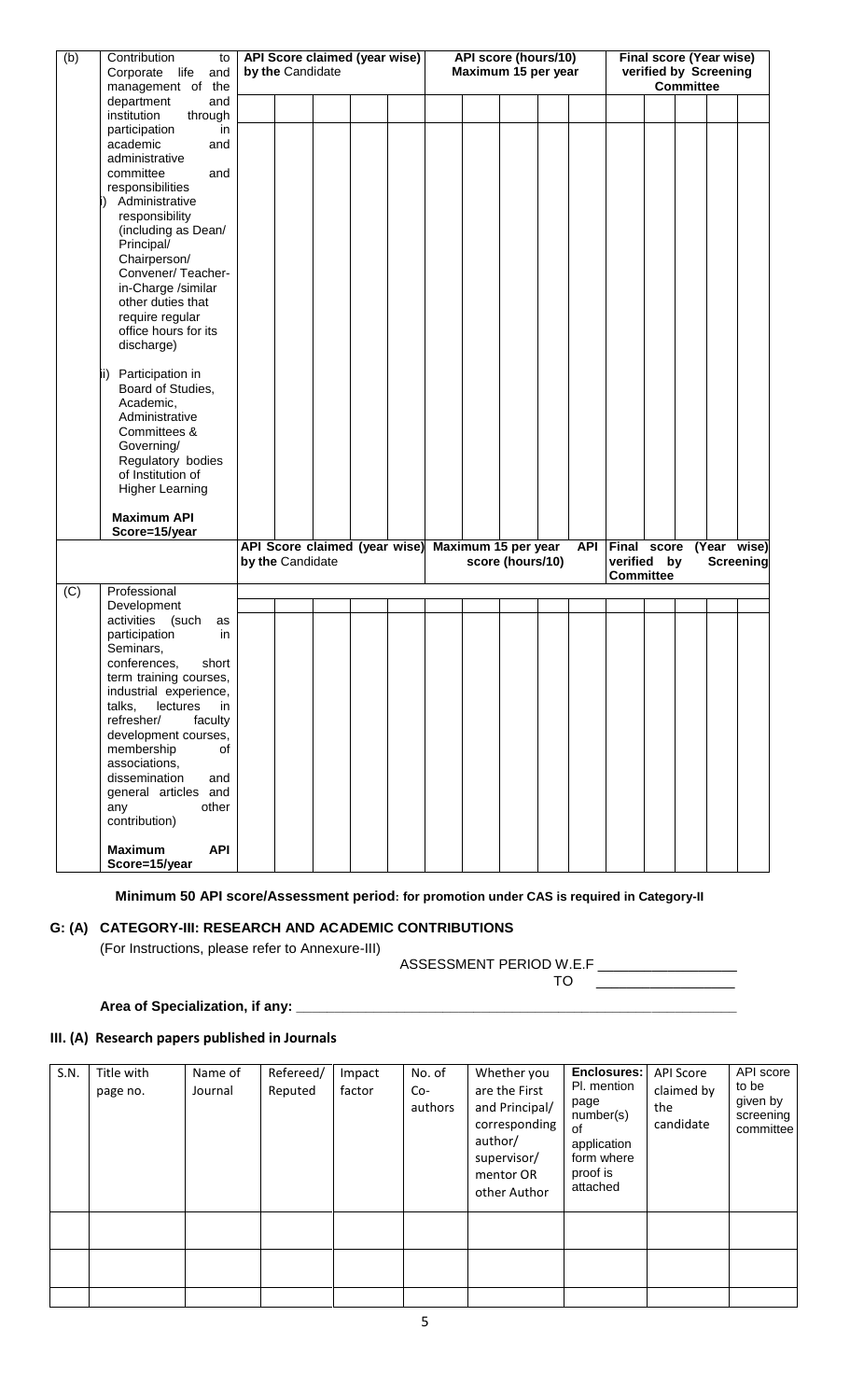| (b) | Contribution<br>to           | API Score claimed (year wise) |                               |  |  | <b>API score (hours/10)</b> |                     |                  |  |            | <b>Final score (Year wise)</b> |  |  |             |           |  |
|-----|------------------------------|-------------------------------|-------------------------------|--|--|-----------------------------|---------------------|------------------|--|------------|--------------------------------|--|--|-------------|-----------|--|
|     | Corporate life<br>and        | by the Candidate              |                               |  |  | Maximum 15 per year         |                     |                  |  |            | verified by Screening          |  |  |             |           |  |
|     | management of the            |                               |                               |  |  |                             |                     |                  |  |            | <b>Committee</b>               |  |  |             |           |  |
|     | department<br>and            |                               |                               |  |  |                             |                     |                  |  |            |                                |  |  |             |           |  |
|     | institution<br>through       |                               |                               |  |  |                             |                     |                  |  |            |                                |  |  |             |           |  |
|     | participation<br>in          |                               |                               |  |  |                             |                     |                  |  |            |                                |  |  |             |           |  |
|     | academic<br>and              |                               |                               |  |  |                             |                     |                  |  |            |                                |  |  |             |           |  |
|     | administrative               |                               |                               |  |  |                             |                     |                  |  |            |                                |  |  |             |           |  |
|     | committee<br>and             |                               |                               |  |  |                             |                     |                  |  |            |                                |  |  |             |           |  |
|     | responsibilities             |                               |                               |  |  |                             |                     |                  |  |            |                                |  |  |             |           |  |
|     | Administrative               |                               |                               |  |  |                             |                     |                  |  |            |                                |  |  |             |           |  |
|     | responsibility               |                               |                               |  |  |                             |                     |                  |  |            |                                |  |  |             |           |  |
|     | (including as Dean/          |                               |                               |  |  |                             |                     |                  |  |            |                                |  |  |             |           |  |
|     | Principal/                   |                               |                               |  |  |                             |                     |                  |  |            |                                |  |  |             |           |  |
|     | Chairperson/                 |                               |                               |  |  |                             |                     |                  |  |            |                                |  |  |             |           |  |
|     | Convener/Teacher-            |                               |                               |  |  |                             |                     |                  |  |            |                                |  |  |             |           |  |
|     | in-Charge /similar           |                               |                               |  |  |                             |                     |                  |  |            |                                |  |  |             |           |  |
|     | other duties that            |                               |                               |  |  |                             |                     |                  |  |            |                                |  |  |             |           |  |
|     | require regular              |                               |                               |  |  |                             |                     |                  |  |            |                                |  |  |             |           |  |
|     | office hours for its         |                               |                               |  |  |                             |                     |                  |  |            |                                |  |  |             |           |  |
|     | discharge)                   |                               |                               |  |  |                             |                     |                  |  |            |                                |  |  |             |           |  |
|     |                              |                               |                               |  |  |                             |                     |                  |  |            |                                |  |  |             |           |  |
|     | Participation in<br>lii)     |                               |                               |  |  |                             |                     |                  |  |            |                                |  |  |             |           |  |
|     | Board of Studies,            |                               |                               |  |  |                             |                     |                  |  |            |                                |  |  |             |           |  |
|     | Academic,                    |                               |                               |  |  |                             |                     |                  |  |            |                                |  |  |             |           |  |
|     | Administrative               |                               |                               |  |  |                             |                     |                  |  |            |                                |  |  |             |           |  |
|     | Committees &                 |                               |                               |  |  |                             |                     |                  |  |            |                                |  |  |             |           |  |
|     | Governing/                   |                               |                               |  |  |                             |                     |                  |  |            |                                |  |  |             |           |  |
|     | Regulatory bodies            |                               |                               |  |  |                             |                     |                  |  |            |                                |  |  |             |           |  |
|     | of Institution of            |                               |                               |  |  |                             |                     |                  |  |            |                                |  |  |             |           |  |
|     | <b>Higher Learning</b>       |                               |                               |  |  |                             |                     |                  |  |            |                                |  |  |             |           |  |
|     |                              |                               |                               |  |  |                             |                     |                  |  |            |                                |  |  |             |           |  |
|     | <b>Maximum API</b>           |                               |                               |  |  |                             |                     |                  |  |            |                                |  |  |             |           |  |
|     | Score=15/year                |                               |                               |  |  |                             |                     |                  |  |            |                                |  |  |             |           |  |
|     |                              |                               | API Score claimed (year wise) |  |  |                             | Maximum 15 per year |                  |  | <b>API</b> | Final score                    |  |  | (Year wise) |           |  |
|     |                              | by the Candidate              |                               |  |  |                             |                     | score (hours/10) |  |            | verified by                    |  |  |             | Screening |  |
|     |                              |                               |                               |  |  |                             |                     |                  |  |            | <b>Committee</b>               |  |  |             |           |  |
| (C) | Professional                 |                               |                               |  |  |                             |                     |                  |  |            |                                |  |  |             |           |  |
|     | Development                  |                               |                               |  |  |                             |                     |                  |  |            |                                |  |  |             |           |  |
|     | activities (such<br>as       |                               |                               |  |  |                             |                     |                  |  |            |                                |  |  |             |           |  |
|     | participation<br>in.         |                               |                               |  |  |                             |                     |                  |  |            |                                |  |  |             |           |  |
|     | Seminars,                    |                               |                               |  |  |                             |                     |                  |  |            |                                |  |  |             |           |  |
|     | conferences,<br>short        |                               |                               |  |  |                             |                     |                  |  |            |                                |  |  |             |           |  |
|     | term training courses,       |                               |                               |  |  |                             |                     |                  |  |            |                                |  |  |             |           |  |
|     | industrial experience,       |                               |                               |  |  |                             |                     |                  |  |            |                                |  |  |             |           |  |
|     | talks,<br>lectures<br>in     |                               |                               |  |  |                             |                     |                  |  |            |                                |  |  |             |           |  |
|     | faculty<br>refresher/        |                               |                               |  |  |                             |                     |                  |  |            |                                |  |  |             |           |  |
|     | development courses,         |                               |                               |  |  |                             |                     |                  |  |            |                                |  |  |             |           |  |
|     | membership<br>of             |                               |                               |  |  |                             |                     |                  |  |            |                                |  |  |             |           |  |
|     | associations,                |                               |                               |  |  |                             |                     |                  |  |            |                                |  |  |             |           |  |
|     | dissemination<br>and         |                               |                               |  |  |                             |                     |                  |  |            |                                |  |  |             |           |  |
|     | general articles and         |                               |                               |  |  |                             |                     |                  |  |            |                                |  |  |             |           |  |
|     | other<br>any                 |                               |                               |  |  |                             |                     |                  |  |            |                                |  |  |             |           |  |
|     | contribution)                |                               |                               |  |  |                             |                     |                  |  |            |                                |  |  |             |           |  |
|     |                              |                               |                               |  |  |                             |                     |                  |  |            |                                |  |  |             |           |  |
|     | <b>API</b><br><b>Maximum</b> |                               |                               |  |  |                             |                     |                  |  |            |                                |  |  |             |           |  |

 **Minimum 50 API score/Assessment period: for promotion under CAS is required in Category-II**

#### **G: (A) CATEGORY-III: RESEARCH AND ACADEMIC CONTRIBUTIONS**

(For Instructions, please refer to Annexure-III)

ASSESSMENT PERIOD W.E.F TO \_\_\_\_\_\_\_\_\_\_\_\_\_\_\_\_\_\_

#### Area of Specialization, if any:

# **III. (A) Research papers published in Journals**

| S.N. | Title with<br>page no. | Name of<br>Journal | Refereed/<br>Reputed | Impact<br>factor | No. of<br>Co-<br>authors | Whether you<br>are the First<br>and Principal/<br>corresponding<br>author/<br>supervisor/<br>mentor OR<br>other Author | <b>Enclosures:</b><br>Pl. mention<br>page<br>number(s)<br>0f<br>application<br>form where<br>proof is<br>attached | <b>API Score</b><br>claimed by<br>the<br>candidate | API score<br>to be<br>given by<br>screening<br>committee |
|------|------------------------|--------------------|----------------------|------------------|--------------------------|------------------------------------------------------------------------------------------------------------------------|-------------------------------------------------------------------------------------------------------------------|----------------------------------------------------|----------------------------------------------------------|
|      |                        |                    |                      |                  |                          |                                                                                                                        |                                                                                                                   |                                                    |                                                          |
|      |                        |                    |                      |                  |                          |                                                                                                                        |                                                                                                                   |                                                    |                                                          |
|      |                        |                    |                      |                  |                          |                                                                                                                        |                                                                                                                   |                                                    |                                                          |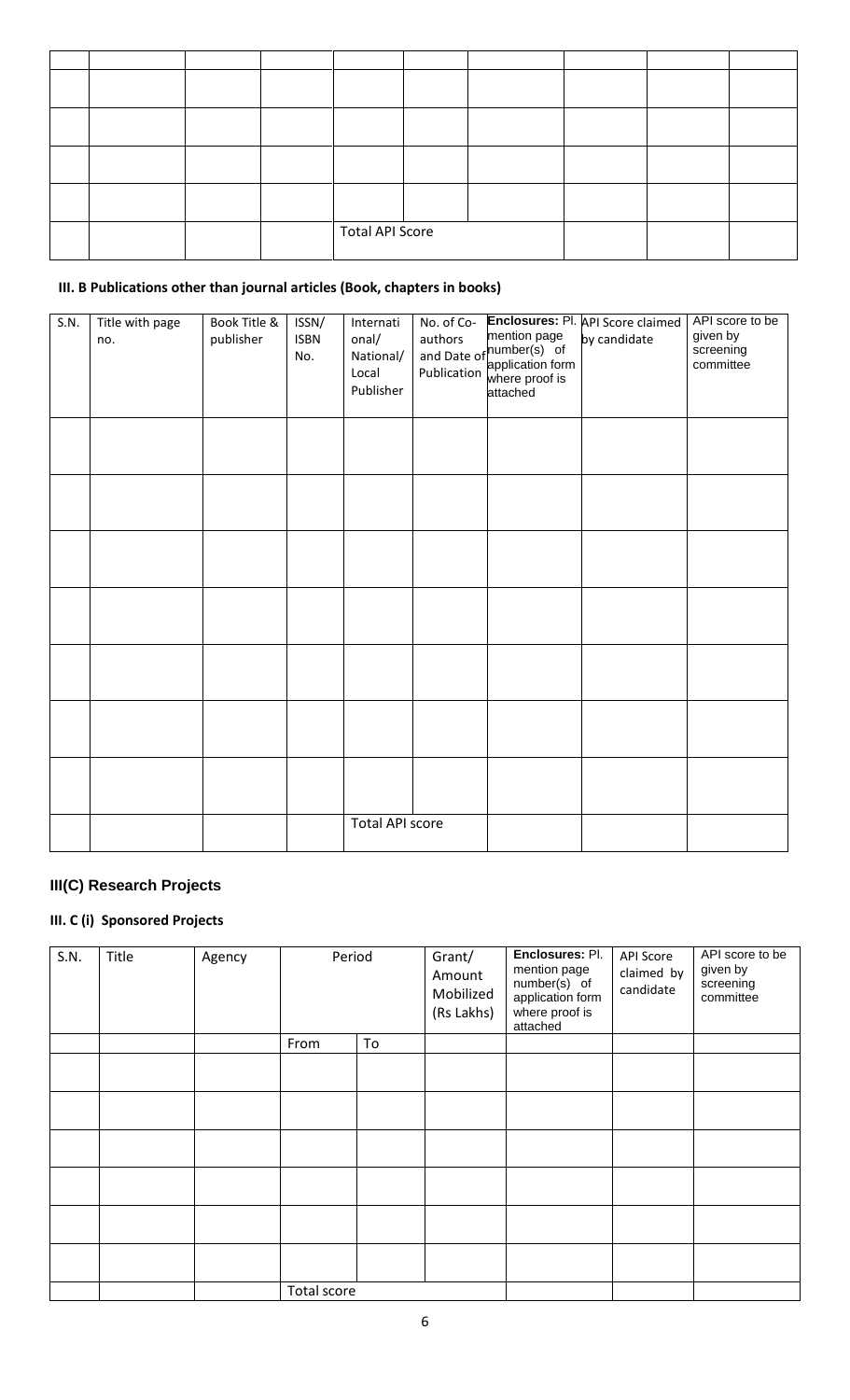|  |  | <b>Total API Score</b> |  |  |  |  |
|--|--|------------------------|--|--|--|--|

# **III. B Publications other than journal articles (Book, chapters in books)**

| S.N. | Title with page<br>no. | Book Title &<br>publisher | ISSN/<br><b>ISBN</b><br>No. | Internati<br>onal/<br>National/<br>Local<br>Publisher | No. of Co-<br>authors | mention page<br>authors<br>and Date of<br>publication application form<br>where proof is<br>attached | Enclosures: Pl. API Score claimed<br>by candidate | API score to be<br>given by<br>screening<br>committee |
|------|------------------------|---------------------------|-----------------------------|-------------------------------------------------------|-----------------------|------------------------------------------------------------------------------------------------------|---------------------------------------------------|-------------------------------------------------------|
|      |                        |                           |                             |                                                       |                       |                                                                                                      |                                                   |                                                       |
|      |                        |                           |                             |                                                       |                       |                                                                                                      |                                                   |                                                       |
|      |                        |                           |                             |                                                       |                       |                                                                                                      |                                                   |                                                       |
|      |                        |                           |                             |                                                       |                       |                                                                                                      |                                                   |                                                       |
|      |                        |                           |                             |                                                       |                       |                                                                                                      |                                                   |                                                       |
|      |                        |                           |                             |                                                       |                       |                                                                                                      |                                                   |                                                       |
|      |                        |                           |                             |                                                       |                       |                                                                                                      |                                                   |                                                       |
|      |                        |                           |                             | <b>Total API score</b>                                |                       |                                                                                                      |                                                   |                                                       |

# **III(C) Research Projects**

# **III. C (i) Sponsored Projects**

| S.N. | Title | Agency | Period      |    | Grant/<br>Amount<br>Mobilized<br>(Rs Lakhs) | Enclosures: Pl.<br>mention page<br>number(s) of<br>application form<br>where proof is<br>attached | <b>API Score</b><br>claimed by<br>candidate | API score to be<br>given by<br>screening<br>committee |
|------|-------|--------|-------------|----|---------------------------------------------|---------------------------------------------------------------------------------------------------|---------------------------------------------|-------------------------------------------------------|
|      |       |        | From        | To |                                             |                                                                                                   |                                             |                                                       |
|      |       |        |             |    |                                             |                                                                                                   |                                             |                                                       |
|      |       |        |             |    |                                             |                                                                                                   |                                             |                                                       |
|      |       |        |             |    |                                             |                                                                                                   |                                             |                                                       |
|      |       |        |             |    |                                             |                                                                                                   |                                             |                                                       |
|      |       |        |             |    |                                             |                                                                                                   |                                             |                                                       |
|      |       |        |             |    |                                             |                                                                                                   |                                             |                                                       |
|      |       |        | Total score |    |                                             |                                                                                                   |                                             |                                                       |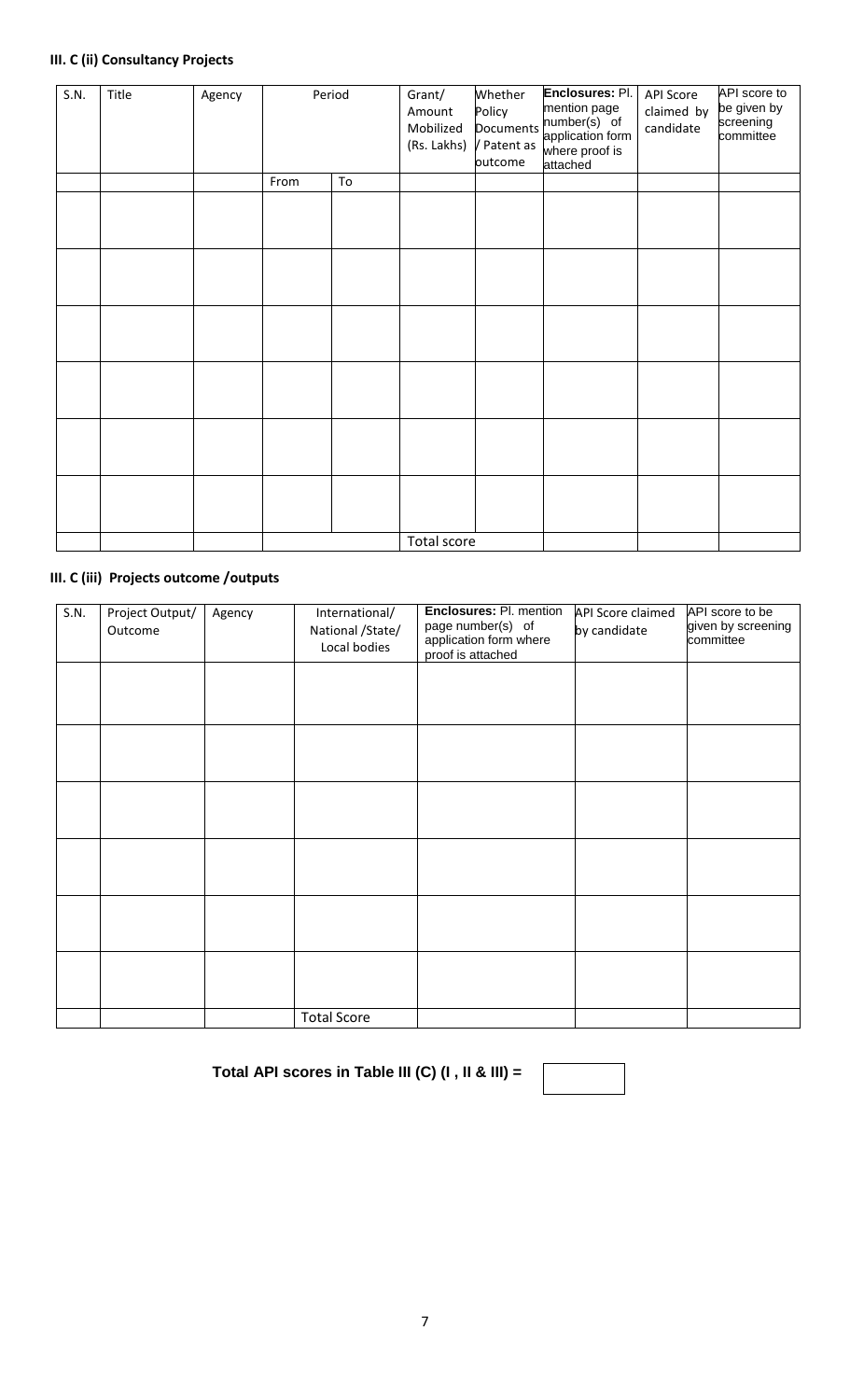# **III. C (ii) Consultancy Projects**

| S.N. | Title | Agency | Period |    | Grant/<br>Amount<br>Mobilized<br>(Rs. Lakhs) | Whether<br>Policy<br><b>Documents</b><br>/ Patent as<br>outcome | Enclosures: Pl.<br>mention page<br>number(s) of<br>application form<br>where proof is<br>attached | <b>API Score</b><br>claimed by<br>candidate | API score to<br>be given by<br>screening<br>committee |
|------|-------|--------|--------|----|----------------------------------------------|-----------------------------------------------------------------|---------------------------------------------------------------------------------------------------|---------------------------------------------|-------------------------------------------------------|
|      |       |        | From   | To |                                              |                                                                 |                                                                                                   |                                             |                                                       |
|      |       |        |        |    |                                              |                                                                 |                                                                                                   |                                             |                                                       |
|      |       |        |        |    |                                              |                                                                 |                                                                                                   |                                             |                                                       |
|      |       |        |        |    |                                              |                                                                 |                                                                                                   |                                             |                                                       |
|      |       |        |        |    |                                              |                                                                 |                                                                                                   |                                             |                                                       |
|      |       |        |        |    |                                              |                                                                 |                                                                                                   |                                             |                                                       |
|      |       |        |        |    |                                              |                                                                 |                                                                                                   |                                             |                                                       |
|      |       |        |        |    | Total score                                  |                                                                 |                                                                                                   |                                             |                                                       |

# **III. C (iii) Projects outcome /outputs**

| S.N. | Project Output/<br>Outcome | Agency | International/<br>National /State/<br>Local bodies | Enclosures: Pl. mention<br>page number(s) of<br>application form where<br>proof is attached | <b>API Score claimed</b><br>by candidate | API score to be<br>given by screening<br>committee |
|------|----------------------------|--------|----------------------------------------------------|---------------------------------------------------------------------------------------------|------------------------------------------|----------------------------------------------------|
|      |                            |        |                                                    |                                                                                             |                                          |                                                    |
|      |                            |        |                                                    |                                                                                             |                                          |                                                    |
|      |                            |        |                                                    |                                                                                             |                                          |                                                    |
|      |                            |        |                                                    |                                                                                             |                                          |                                                    |
|      |                            |        |                                                    |                                                                                             |                                          |                                                    |
|      |                            |        |                                                    |                                                                                             |                                          |                                                    |
|      |                            |        | <b>Total Score</b>                                 |                                                                                             |                                          |                                                    |

**Total API scores in Table III (C) (I , II & III) =**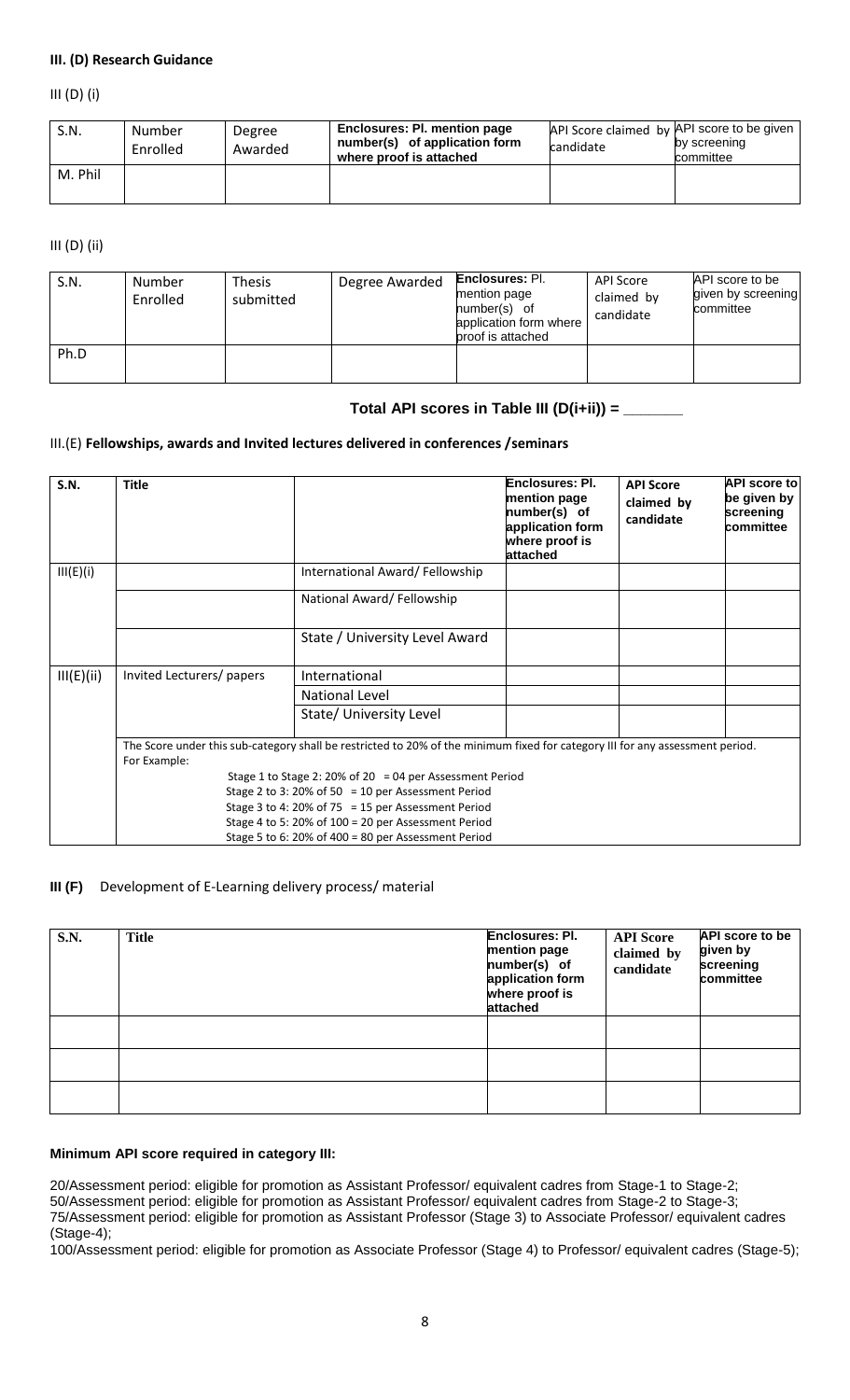#### **III. (D) Research Guidance**

III (D) (i)

| S.N.    | Number<br>Enrolled | Degree<br>Awarded | Enclosures: Pl. mention page<br>number(s) of application form<br>where proof is attached | API Score claimed by API score to be given<br>candidate | by screening<br>committee |
|---------|--------------------|-------------------|------------------------------------------------------------------------------------------|---------------------------------------------------------|---------------------------|
| M. Phil |                    |                   |                                                                                          |                                                         |                           |

#### III (D) (ii)

| S.N. | Number<br>Enrolled | Thesis<br>submitted | Degree Awarded | <b>Enclosures: Pl.</b><br>mention page<br>number(s) of<br>application form where<br>proof is attached | API Score<br>claimed by<br>candidate | API score to be<br>given by screening<br>committee |
|------|--------------------|---------------------|----------------|-------------------------------------------------------------------------------------------------------|--------------------------------------|----------------------------------------------------|
| Ph.D |                    |                     |                |                                                                                                       |                                      |                                                    |

## **Total API scores in Table III (D(i+ii)) = \_\_\_\_\_\_\_**

#### III.(E) **Fellowships, awards and Invited lectures delivered in conferences /seminars**

| S.N.       | <b>Title</b>                                                                                                                                  |                                                          | Enclosures: PI.<br>mention page<br>number(s) of<br>application form<br>where proof is<br>attached | <b>API Score</b><br>claimed by<br>candidate | <b>API score to</b><br>be given by<br>screening<br>committee |  |  |  |  |  |
|------------|-----------------------------------------------------------------------------------------------------------------------------------------------|----------------------------------------------------------|---------------------------------------------------------------------------------------------------|---------------------------------------------|--------------------------------------------------------------|--|--|--|--|--|
| III(E)(i)  |                                                                                                                                               | International Award/Fellowship                           |                                                                                                   |                                             |                                                              |  |  |  |  |  |
|            |                                                                                                                                               | National Award/Fellowship                                |                                                                                                   |                                             |                                                              |  |  |  |  |  |
|            |                                                                                                                                               | State / University Level Award                           |                                                                                                   |                                             |                                                              |  |  |  |  |  |
| III(E)(ii) | Invited Lecturers/ papers                                                                                                                     | International                                            |                                                                                                   |                                             |                                                              |  |  |  |  |  |
|            |                                                                                                                                               | National Level                                           |                                                                                                   |                                             |                                                              |  |  |  |  |  |
|            |                                                                                                                                               | State/ University Level                                  |                                                                                                   |                                             |                                                              |  |  |  |  |  |
|            | The Score under this sub-category shall be restricted to 20% of the minimum fixed for category III for any assessment period.<br>For Example: |                                                          |                                                                                                   |                                             |                                                              |  |  |  |  |  |
|            | Stage 2 to 3: 20% of 50 = 10 per Assessment Period                                                                                            | Stage 1 to Stage 2: 20% of 20 = 04 per Assessment Period |                                                                                                   |                                             |                                                              |  |  |  |  |  |
|            |                                                                                                                                               |                                                          |                                                                                                   |                                             |                                                              |  |  |  |  |  |
|            |                                                                                                                                               | Stage 3 to 4: 20% of 75 = 15 per Assessment Period       |                                                                                                   |                                             |                                                              |  |  |  |  |  |
|            |                                                                                                                                               | Stage 4 to 5: 20% of 100 = 20 per Assessment Period      |                                                                                                   |                                             |                                                              |  |  |  |  |  |
|            |                                                                                                                                               | Stage 5 to 6: 20% of 400 = 80 per Assessment Period      |                                                                                                   |                                             |                                                              |  |  |  |  |  |

#### **III (F)** Development of E-Learning delivery process/ material

| S.N. | Title | <b>Enclosures: Pl.</b><br>mention page<br>number(s) of<br>application form<br>where proof is<br>attached | <b>API Score</b><br>claimed by<br>candidate | <b>API</b> score to be<br>given by<br>screening<br>committee |
|------|-------|----------------------------------------------------------------------------------------------------------|---------------------------------------------|--------------------------------------------------------------|
|      |       |                                                                                                          |                                             |                                                              |
|      |       |                                                                                                          |                                             |                                                              |
|      |       |                                                                                                          |                                             |                                                              |

#### **Minimum API score required in category III:**

20/Assessment period: eligible for promotion as Assistant Professor/ equivalent cadres from Stage-1 to Stage-2; 50/Assessment period: eligible for promotion as Assistant Professor/ equivalent cadres from Stage-2 to Stage-3; 75/Assessment period: eligible for promotion as Assistant Professor (Stage 3) to Associate Professor/ equivalent cadres (Stage-4);

100/Assessment period: eligible for promotion as Associate Professor (Stage 4) to Professor/ equivalent cadres (Stage-5);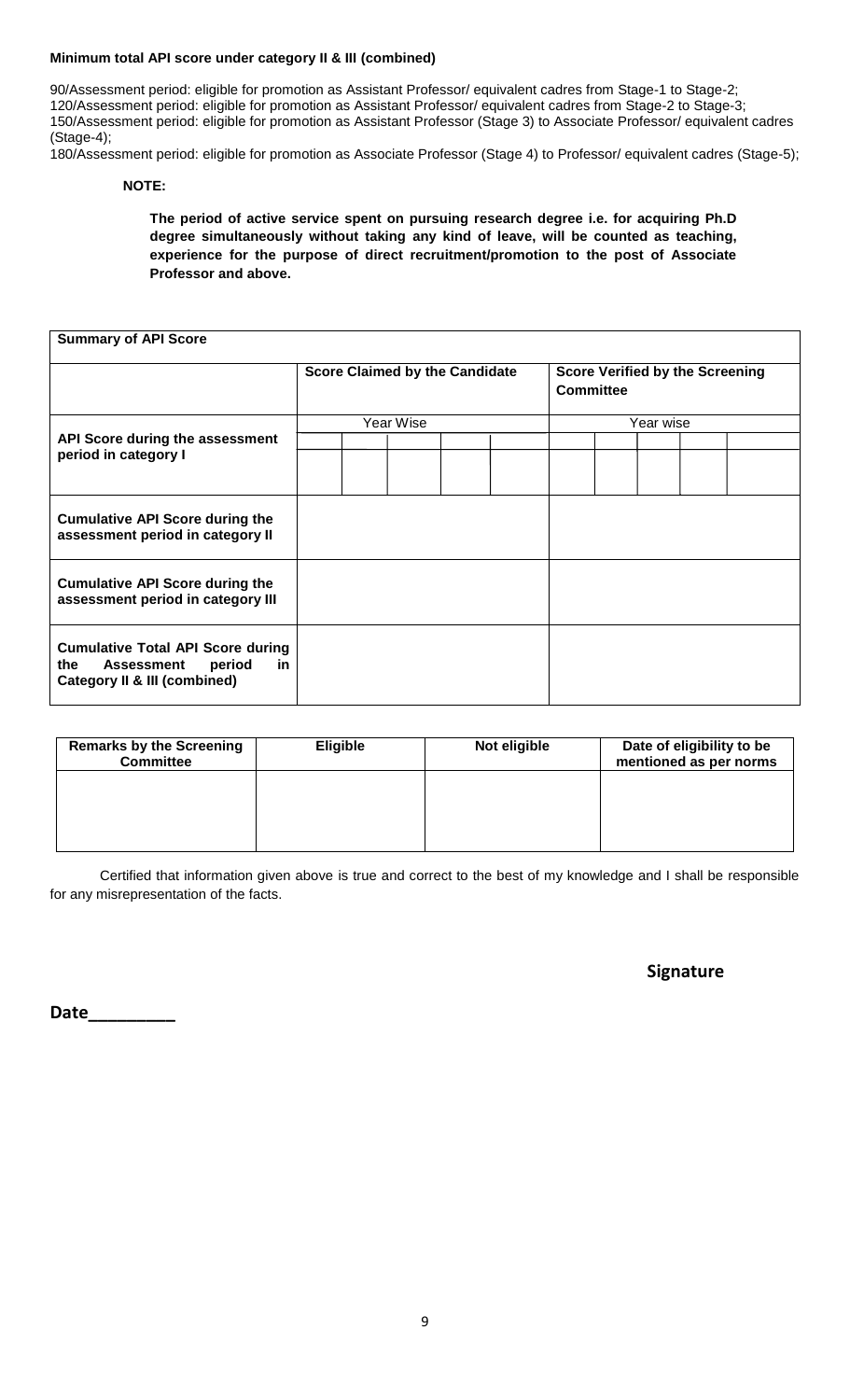#### **Minimum total API score under category II & III (combined)**

90/Assessment period: eligible for promotion as Assistant Professor/ equivalent cadres from Stage-1 to Stage-2; 120/Assessment period: eligible for promotion as Assistant Professor/ equivalent cadres from Stage-2 to Stage-3; 150/Assessment period: eligible for promotion as Assistant Professor (Stage 3) to Associate Professor/ equivalent cadres (Stage-4);

180/Assessment period: eligible for promotion as Associate Professor (Stage 4) to Professor/ equivalent cadres (Stage-5);

#### **NOTE:**

**The period of active service spent on pursuing research degree i.e. for acquiring Ph.D degree simultaneously without taking any kind of leave, will be counted as teaching, experience for the purpose of direct recruitment/promotion to the post of Associate Professor and above.**

| <b>Summary of API Score</b>                                                                                   |                                       |  |           |  |                                                     |  |  |           |  |  |
|---------------------------------------------------------------------------------------------------------------|---------------------------------------|--|-----------|--|-----------------------------------------------------|--|--|-----------|--|--|
|                                                                                                               | <b>Score Claimed by the Candidate</b> |  |           |  | <b>Score Verified by the Screening</b><br>Committee |  |  |           |  |  |
|                                                                                                               |                                       |  | Year Wise |  |                                                     |  |  | Year wise |  |  |
| API Score during the assessment                                                                               |                                       |  |           |  |                                                     |  |  |           |  |  |
| period in category I                                                                                          |                                       |  |           |  |                                                     |  |  |           |  |  |
| <b>Cumulative API Score during the</b><br>assessment period in category II                                    |                                       |  |           |  |                                                     |  |  |           |  |  |
| <b>Cumulative API Score during the</b><br>assessment period in category III                                   |                                       |  |           |  |                                                     |  |  |           |  |  |
| <b>Cumulative Total API Score during</b><br>the<br>period<br>in<br>Assessment<br>Category II & III (combined) |                                       |  |           |  |                                                     |  |  |           |  |  |

| <b>Remarks by the Screening</b><br><b>Committee</b> | <b>Eligible</b> | Not eligible | Date of eligibility to be<br>mentioned as per norms |
|-----------------------------------------------------|-----------------|--------------|-----------------------------------------------------|
|                                                     |                 |              |                                                     |
|                                                     |                 |              |                                                     |
|                                                     |                 |              |                                                     |

Certified that information given above is true and correct to the best of my knowledge and I shall be responsible for any misrepresentation of the facts.

 **Signature**

**Date\_\_\_\_\_\_\_\_\_**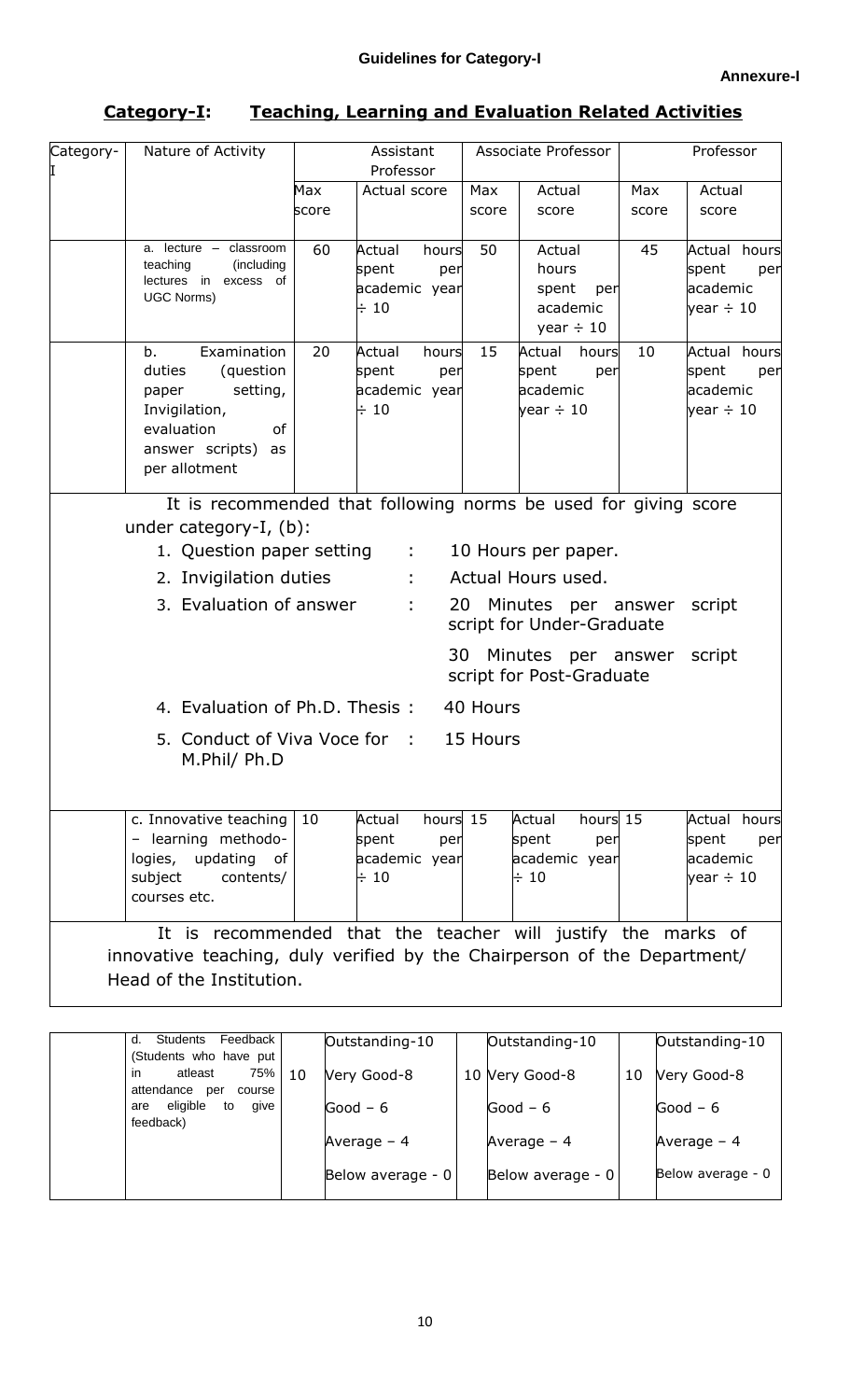| Category-I: | <b>Teaching, Learning and Evaluation Related Activities</b> |
|-------------|-------------------------------------------------------------|
|-------------|-------------------------------------------------------------|

| Category-<br>I                                                                                                                      | Nature of Activity                                                                                                                                                            | Assistant<br>Professor |                                                                  | Associate Professor |                                                                                                                    | Professor    |                                                            |
|-------------------------------------------------------------------------------------------------------------------------------------|-------------------------------------------------------------------------------------------------------------------------------------------------------------------------------|------------------------|------------------------------------------------------------------|---------------------|--------------------------------------------------------------------------------------------------------------------|--------------|------------------------------------------------------------|
|                                                                                                                                     |                                                                                                                                                                               | Max<br>score           | Actual score                                                     | Max<br>score        | Actual<br>score                                                                                                    | Max<br>score | Actual<br>score                                            |
|                                                                                                                                     | a. lecture - classroom<br>teaching<br>(including<br>lectures in excess of<br><b>UGC Norms)</b>                                                                                | 60                     | Actual<br>hours<br>spent<br>per<br>academic year<br>$\div$ 10    | 50                  | Actual<br>hours<br>spent<br>per<br>academic<br>year $\div$ 10                                                      | 45           | Actual hours<br>spent<br>per<br>academic<br>year $\div$ 10 |
|                                                                                                                                     | Examination<br>b.<br>duties<br>(question<br>setting,<br>paper<br>Invigilation,<br>evaluation<br>of<br>answer scripts)<br>as<br>per allotment                                  | 20                     | Actual<br>hours<br>spent<br>per<br>academic year<br>$\div$ 10    | 15                  | Actual<br>hours<br>spent<br>per<br>academic<br>year $\div$ 10                                                      | 10           | Actual hours<br>spent<br>per<br>academic<br>year $\div$ 10 |
|                                                                                                                                     | It is recommended that following norms be used for giving score<br>under category-I, (b):<br>1. Question paper setting :<br>2. Invigilation duties<br>3. Evaluation of answer |                        | 20<br>÷<br>30                                                    |                     | 10 Hours per paper.<br>Actual Hours used.<br>Minutes per answer<br>script for Under-Graduate<br>Minutes per answer |              | script<br>script                                           |
| script for Post-Graduate<br>4. Evaluation of Ph.D. Thesis:<br>40 Hours<br>5. Conduct of Viva Voce for :<br>15 Hours<br>M.Phil/ Ph.D |                                                                                                                                                                               |                        |                                                                  |                     |                                                                                                                    |              |                                                            |
|                                                                                                                                     | c. Innovative teaching<br>- learning methodo-<br>logies, updating of<br>subject<br>contents/<br>courses etc.                                                                  | 10                     | hours 15<br>Actual<br>spent<br>per<br>academic year<br>$\div$ 10 |                     | Actual<br>hours 15<br>spent<br>per<br>academic year<br>$\div$ 10                                                   |              | Actual hours<br>spent<br>per<br>academic<br>year $\div$ 10 |
|                                                                                                                                     | It is recommended that the teacher will justify the marks of<br>innovative teaching, duly verified by the Chairperson of the Department/<br>Head of the Institution.          |                        |                                                                  |                     |                                                                                                                    |              |                                                            |

| (Students who have put                                                                  | Outstanding-10<br>Outstanding-10 |
|-----------------------------------------------------------------------------------------|----------------------------------|
| 75%<br>in<br>atleast<br>10<br>Very Good-8<br>10 Very Good-8<br>attendance per<br>course | 10<br>Very Good-8                |
| are eligible to<br>give<br>Good $-6$<br>Good $-6$<br>feedback)                          | Good $-6$                        |
| Average $-4$<br>Average $-4$                                                            | Average $-4$                     |
| Below average - 0<br>Below average - 0                                                  | Below average - 0                |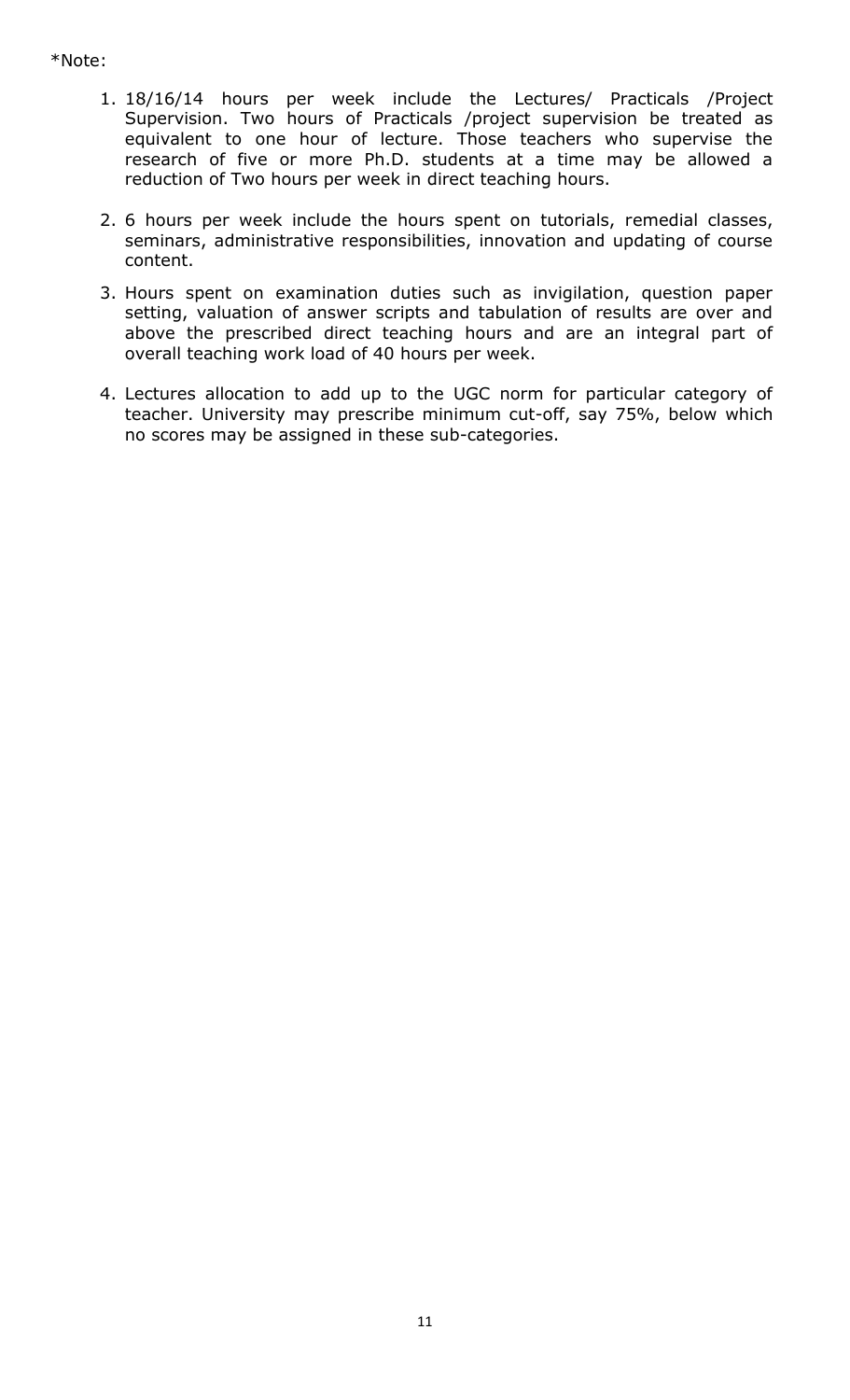# \*Note:

- 1. 18/16/14 hours per week include the Lectures/ Practicals /Project Supervision. Two hours of Practicals /project supervision be treated as equivalent to one hour of lecture. Those teachers who supervise the research of five or more Ph.D. students at a time may be allowed a reduction of Two hours per week in direct teaching hours.
- 2. 6 hours per week include the hours spent on tutorials, remedial classes, seminars, administrative responsibilities, innovation and updating of course content.
- 3. Hours spent on examination duties such as invigilation, question paper setting, valuation of answer scripts and tabulation of results are over and above the prescribed direct teaching hours and are an integral part of overall teaching work load of 40 hours per week.
- 4. Lectures allocation to add up to the UGC norm for particular category of teacher. University may prescribe minimum cut-off, say 75%, below which no scores may be assigned in these sub-categories.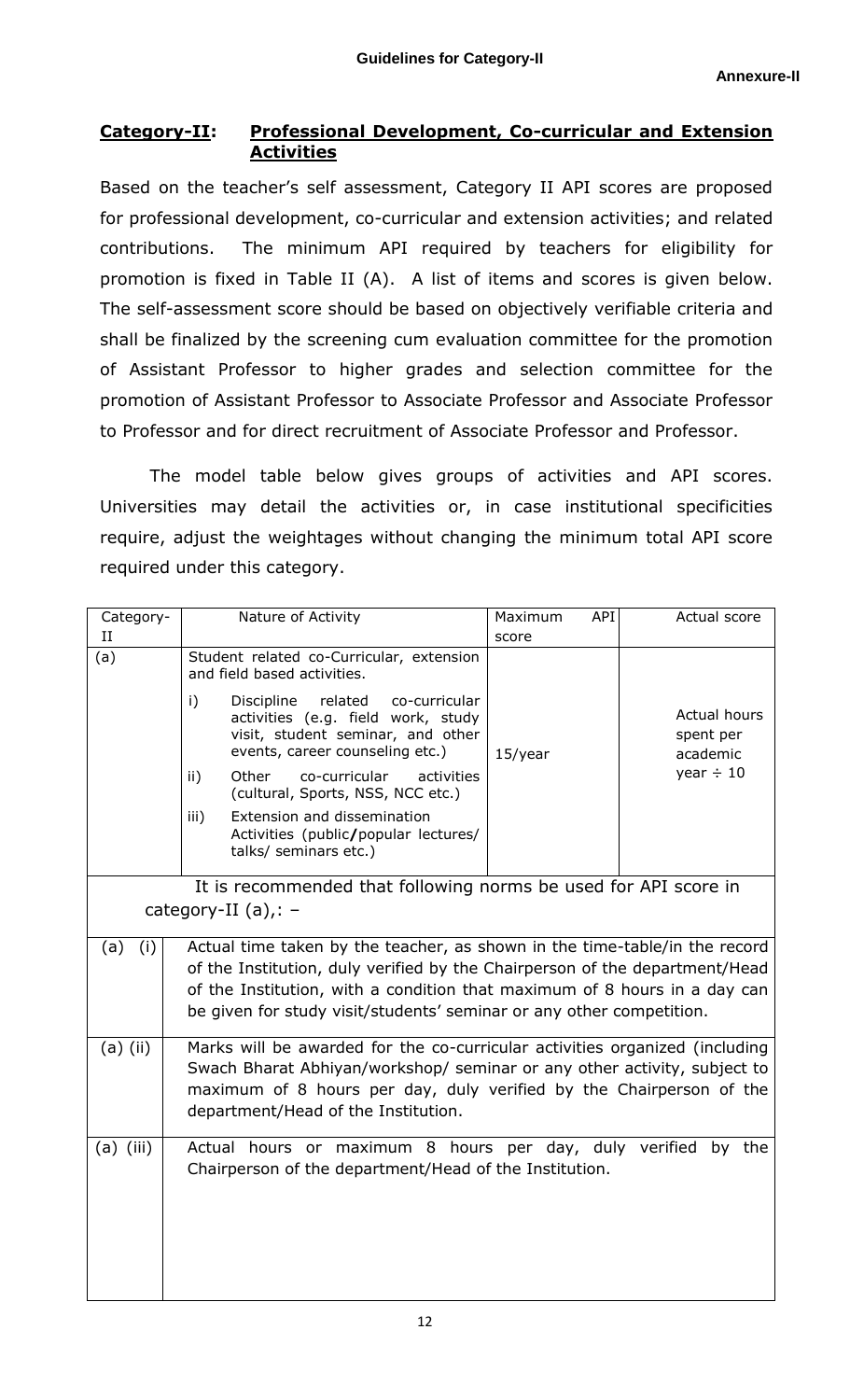# **Category-II: Professional Development, Co-curricular and Extension Activities**

Based on the teacher's self assessment, Category II API scores are proposed for professional development, co-curricular and extension activities; and related contributions. The minimum API required by teachers for eligibility for promotion is fixed in Table II (A). A list of items and scores is given below. The self-assessment score should be based on objectively verifiable criteria and shall be finalized by the screening cum evaluation committee for the promotion of Assistant Professor to higher grades and selection committee for the promotion of Assistant Professor to Associate Professor and Associate Professor to Professor and for direct recruitment of Associate Professor and Professor.

The model table below gives groups of activities and API scores. Universities may detail the activities or, in case institutional specificities require, adjust the weightages without changing the minimum total API score required under this category.

| Category-                                                                                 | Nature of Activity                                                          |                                                                                                                                                      | Maximum<br>API | Actual score                          |  |  |
|-------------------------------------------------------------------------------------------|-----------------------------------------------------------------------------|------------------------------------------------------------------------------------------------------------------------------------------------------|----------------|---------------------------------------|--|--|
| Н                                                                                         |                                                                             |                                                                                                                                                      | score          |                                       |  |  |
| (a)                                                                                       | Student related co-Curricular, extension<br>and field based activities.     |                                                                                                                                                      |                |                                       |  |  |
|                                                                                           | $\mathbf{i}$                                                                | Discipline<br>related<br>co-curricular<br>activities (e.g. field work, study<br>visit, student seminar, and other<br>events, career counseling etc.) | $15$ /year     | Actual hours<br>spent per<br>academic |  |  |
|                                                                                           | ii)                                                                         | co-curricular<br>Other<br>activities<br>(cultural, Sports, NSS, NCC etc.)                                                                            |                | year $\div$ 10                        |  |  |
|                                                                                           | iii)                                                                        | Extension and dissemination<br>Activities (public/popular lectures/<br>talks/ seminars etc.)                                                         |                |                                       |  |  |
|                                                                                           |                                                                             |                                                                                                                                                      |                |                                       |  |  |
| It is recommended that following norms be used for API score in<br>category-II $(a)$ ,: - |                                                                             |                                                                                                                                                      |                |                                       |  |  |
| (a)<br>(i)                                                                                |                                                                             | Actual time taken by the teacher, as shown in the time-table/in the record                                                                           |                |                                       |  |  |
|                                                                                           |                                                                             | of the Institution, duly verified by the Chairperson of the department/Head                                                                          |                |                                       |  |  |
|                                                                                           | of the Institution, with a condition that maximum of 8 hours in a day can   |                                                                                                                                                      |                |                                       |  |  |
|                                                                                           | be given for study visit/students' seminar or any other competition.        |                                                                                                                                                      |                |                                       |  |  |
| $(a)$ (ii)                                                                                | Marks will be awarded for the co-curricular activities organized (including |                                                                                                                                                      |                |                                       |  |  |
|                                                                                           | Swach Bharat Abhiyan/workshop/ seminar or any other activity, subject to    |                                                                                                                                                      |                |                                       |  |  |
|                                                                                           | maximum of 8 hours per day, duly verified by the Chairperson of the         |                                                                                                                                                      |                |                                       |  |  |
|                                                                                           | department/Head of the Institution.                                         |                                                                                                                                                      |                |                                       |  |  |
| $(a)$ (iii)                                                                               | Actual hours or maximum 8 hours per day, duly verified by the               |                                                                                                                                                      |                |                                       |  |  |
|                                                                                           | Chairperson of the department/Head of the Institution.                      |                                                                                                                                                      |                |                                       |  |  |
|                                                                                           |                                                                             |                                                                                                                                                      |                |                                       |  |  |
|                                                                                           |                                                                             |                                                                                                                                                      |                |                                       |  |  |
|                                                                                           |                                                                             |                                                                                                                                                      |                |                                       |  |  |
|                                                                                           |                                                                             |                                                                                                                                                      |                |                                       |  |  |
|                                                                                           |                                                                             |                                                                                                                                                      |                |                                       |  |  |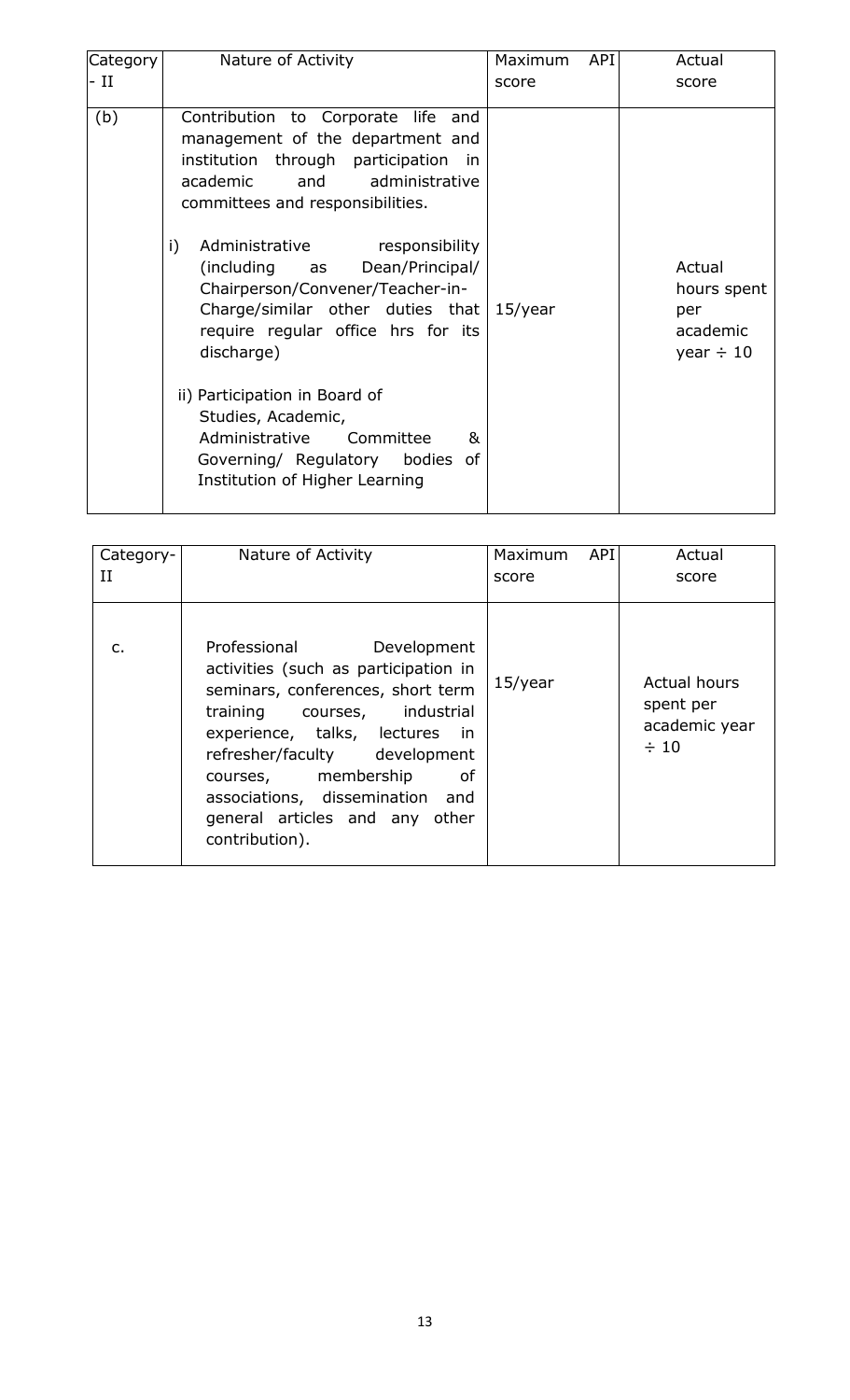| Category-<br>П | Nature of Activity                                                                                                                                                                                                                                                                                                               | API<br>Maximum<br>score | Actual<br>score                                                |
|----------------|----------------------------------------------------------------------------------------------------------------------------------------------------------------------------------------------------------------------------------------------------------------------------------------------------------------------------------|-------------------------|----------------------------------------------------------------|
| $\mathsf{C}$ . | Professional Development<br>activities (such as participation in<br>seminars, conferences, short term<br>training courses, industrial<br>experience, talks, lectures<br>in.<br>refresher/faculty development<br>courses, membership<br>of<br>associations, dissemination and<br>general articles and any other<br>contribution). | $15$ /year              | <b>Actual hours</b><br>spent per<br>academic year<br>$\div$ 10 |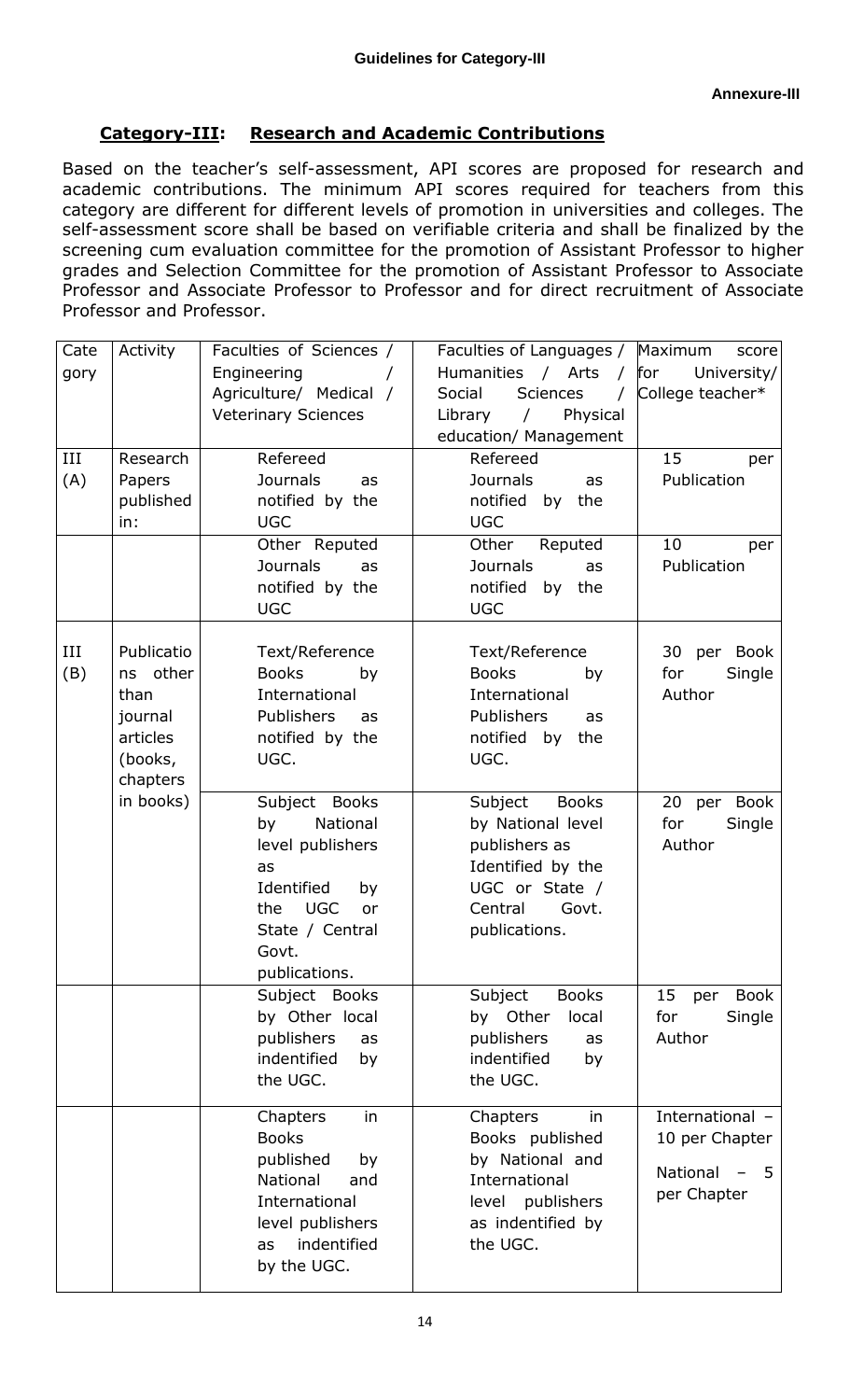# **Category-III: Research and Academic Contributions**

Based on the teacher's self-assessment, API scores are proposed for research and academic contributions. The minimum API scores required for teachers from this category are different for different levels of promotion in universities and colleges. The self-assessment score shall be based on verifiable criteria and shall be finalized by the screening cum evaluation committee for the promotion of Assistant Professor to higher grades and Selection Committee for the promotion of Assistant Professor to Associate Professor and Associate Professor to Professor and for direct recruitment of Associate Professor and Professor.

| Cate<br>gory<br>III<br>(A) | Activity<br>Research<br>Papers<br>published<br>in:                                        | Faculties of Sciences /<br>Engineering<br>Agriculture/ Medical /<br><b>Veterinary Sciences</b><br>Refereed<br><b>Journals</b><br>as<br>notified by the<br><b>UGC</b><br>Other Reputed<br><b>Journals</b><br>as<br>notified by the<br><b>UGC</b>                      | Faculties of Languages /<br>Humanities / Arts /<br>Social<br>Sciences<br>$\sqrt{2}$<br>Physical<br>Library<br>$\sqrt{2}$<br>education/ Management<br>Refereed<br><b>Journals</b><br>as<br>notified<br>by<br>the<br><b>UGC</b><br>Other<br>Reputed<br><b>Journals</b><br>as<br>notified<br>by the<br><b>UGC</b> | Maximum<br>score<br>for<br>University/<br>College teacher*<br>15<br>per<br>Publication<br>10<br>per<br>Publication |
|----------------------------|-------------------------------------------------------------------------------------------|----------------------------------------------------------------------------------------------------------------------------------------------------------------------------------------------------------------------------------------------------------------------|----------------------------------------------------------------------------------------------------------------------------------------------------------------------------------------------------------------------------------------------------------------------------------------------------------------|--------------------------------------------------------------------------------------------------------------------|
| Ш<br>(B)                   | Publicatio<br>ns other<br>than<br>journal<br>articles<br>(books,<br>chapters<br>in books) | Text/Reference<br><b>Books</b><br>by<br>International<br><b>Publishers</b><br>as<br>notified by the<br>UGC.<br>Subject Books<br>National<br>by<br>level publishers<br>as<br>Identified<br>by<br><b>UGC</b><br>the<br>or<br>State / Central<br>Govt.<br>publications. | Text/Reference<br>Books<br>by<br>International<br>Publishers<br>as<br>notified by the<br>UGC.<br>Subject<br><b>Books</b><br>by National level<br>publishers as<br>Identified by the<br>UGC or State /<br>Central<br>Govt.<br>publications.                                                                     | 30 per Book<br>for<br>Single<br>Author<br>20 per Book<br>for<br>Single<br>Author                                   |
|                            |                                                                                           | Subject Books<br>by Other local<br>publishers<br>as<br>indentified<br>by<br>the UGC.                                                                                                                                                                                 | Subject<br><b>Books</b><br>by Other<br>local<br>publishers<br>as<br>indentified<br>by<br>the UGC.                                                                                                                                                                                                              | 15<br><b>Book</b><br>per<br>for<br>Single<br>Author                                                                |
|                            |                                                                                           | Chapters<br>in<br><b>Books</b><br>published<br>by<br>National<br>and<br>International<br>level publishers<br>indentified<br>as<br>by the UGC.                                                                                                                        | Chapters<br>in<br>Books published<br>by National and<br>International<br>level publishers<br>as indentified by<br>the UGC.                                                                                                                                                                                     | International -<br>10 per Chapter<br>National<br>-5<br>per Chapter                                                 |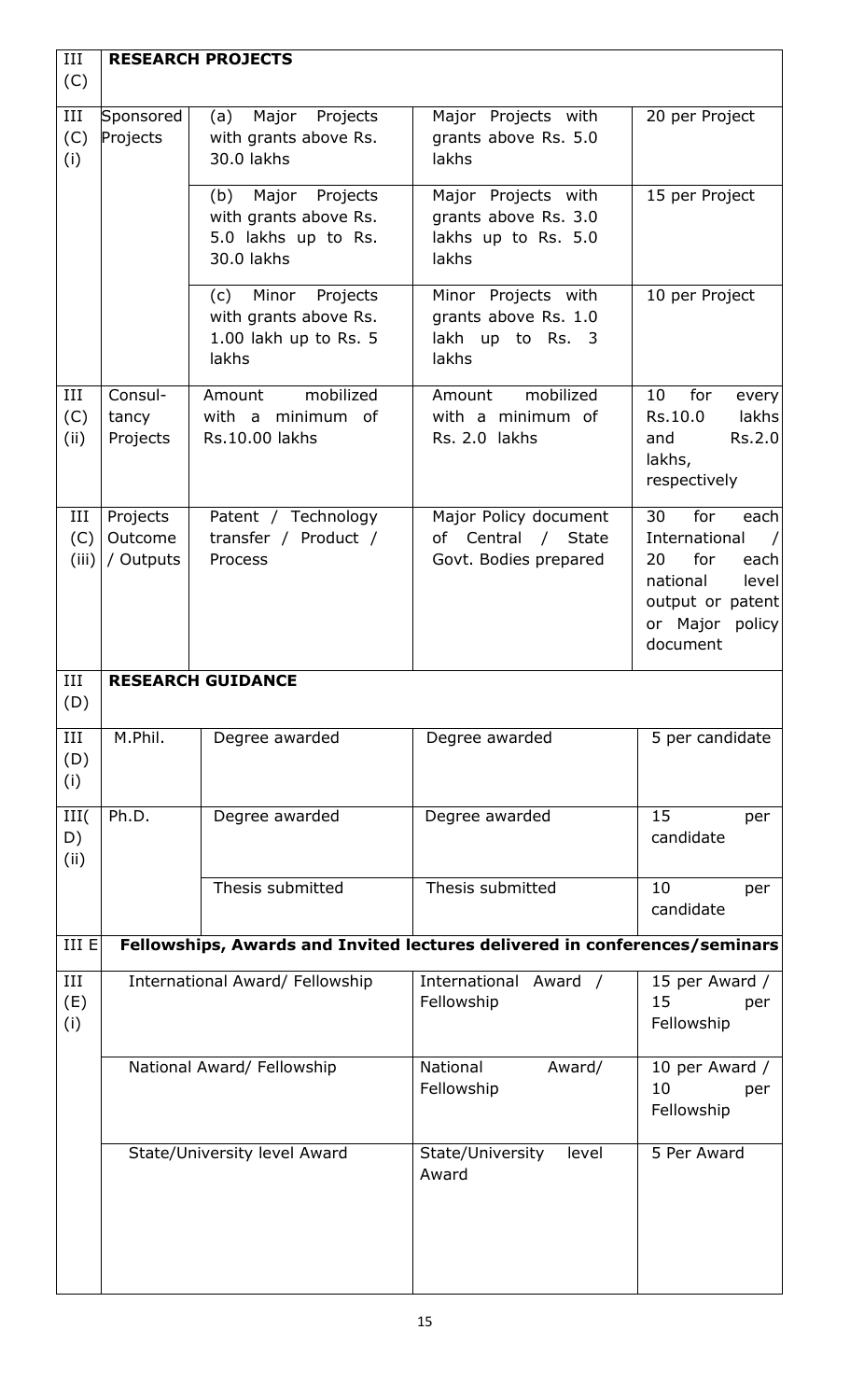| III<br>(C)         |                                  | <b>RESEARCH PROJECTS</b>                                                            |                                                                             |                                                                                                                                                  |
|--------------------|----------------------------------|-------------------------------------------------------------------------------------|-----------------------------------------------------------------------------|--------------------------------------------------------------------------------------------------------------------------------------------------|
| III<br>(C)<br>(i)  | Sponsored<br>Projects            | Major<br>Projects<br>(a)<br>with grants above Rs.<br>30.0 lakhs                     | Major Projects with<br>grants above Rs. 5.0<br>lakhs                        | 20 per Project                                                                                                                                   |
|                    |                                  | (b) Major Projects<br>with grants above Rs.<br>5.0 lakhs up to Rs.<br>30.0 lakhs    | Major Projects with<br>grants above Rs. 3.0<br>lakhs up to Rs. 5.0<br>lakhs | 15 per Project                                                                                                                                   |
|                    |                                  | Minor<br>Projects<br>(c)<br>with grants above Rs.<br>1.00 lakh up to Rs. 5<br>lakhs | Minor Projects with<br>grants above Rs. 1.0<br>lakh up to Rs. 3<br>lakhs    | 10 per Project                                                                                                                                   |
| III<br>(C)<br>(ii) | Consul-<br>tancy<br>Projects     | mobilized<br>Amount<br>with a minimum of<br>Rs.10.00 lakhs                          | mobilized<br>Amount<br>with a minimum of<br>Rs. 2.0 lakhs                   | 10<br>for<br>every<br>Rs.10.0<br>lakhs<br>Rs.2.0<br>and<br>lakhs,<br>respectively                                                                |
| Ш<br>(C)<br>(iii)  | Projects<br>Outcome<br>/ Outputs | Patent / Technology<br>transfer / Product /<br>Process                              | Major Policy document<br>of Central / State<br>Govt. Bodies prepared        | for<br>30<br>each<br>International<br>$\sqrt{ }$<br>for<br>20<br>each<br>national<br>level<br>output or patent<br>or Major<br>policy<br>document |
| III<br>(D)         |                                  | <b>RESEARCH GUIDANCE</b>                                                            |                                                                             |                                                                                                                                                  |
| III<br>(D)<br>(i)  | M.Phil.                          | Degree awarded                                                                      | Degree awarded                                                              | 5 per candidate                                                                                                                                  |
| III(<br>D)<br>(ii) | Ph.D.                            | Degree awarded                                                                      | Degree awarded                                                              | 15<br>per<br>candidate                                                                                                                           |
|                    |                                  | Thesis submitted                                                                    | Thesis submitted                                                            | 10<br>per<br>candidate                                                                                                                           |
| <b>III E</b>       |                                  |                                                                                     | Fellowships, Awards and Invited lectures delivered in conferences/seminars  |                                                                                                                                                  |
| III<br>(E)<br>(i)  | International Award/ Fellowship  |                                                                                     | International<br>Award /<br>Fellowship                                      | 15 per Award /<br>15<br>per<br>Fellowship                                                                                                        |
|                    | National Award/ Fellowship       |                                                                                     | National<br>Award/<br>Fellowship                                            | 10 per Award /<br>10<br>per<br>Fellowship                                                                                                        |
|                    | State/University level Award     |                                                                                     | State/University<br>level<br>Award                                          | 5 Per Award                                                                                                                                      |